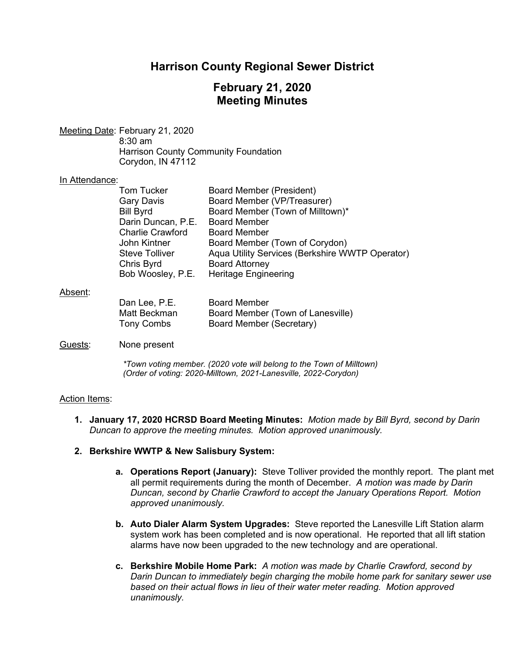# **Harrison County Regional Sewer District**

# **February 21, 2020 Meeting Minutes**

Meeting Date: February 21, 2020 8:30 am Harrison County Community Foundation Corydon, IN 47112

#### In Attendance:

|         | <b>Tom Tucker</b>       | <b>Board Member (President)</b>                 |
|---------|-------------------------|-------------------------------------------------|
|         | <b>Gary Davis</b>       | Board Member (VP/Treasurer)                     |
|         | <b>Bill Byrd</b>        | Board Member (Town of Milltown)*                |
|         | Darin Duncan, P.E.      | <b>Board Member</b>                             |
|         | <b>Charlie Crawford</b> | <b>Board Member</b>                             |
|         | John Kintner            | Board Member (Town of Corydon)                  |
|         | <b>Steve Tolliver</b>   | Aqua Utility Services (Berkshire WWTP Operator) |
|         | Chris Byrd              | <b>Board Attorney</b>                           |
|         | Bob Woosley, P.E.       | <b>Heritage Engineering</b>                     |
| Absent: |                         |                                                 |

| Dan Lee, P.E.     | <b>Board Member</b>               |
|-------------------|-----------------------------------|
| Matt Beckman      | Board Member (Town of Lanesville) |
| <b>Tony Combs</b> | Board Member (Secretary)          |

## Guests: None present

*\*Town voting member. (2020 vote will belong to the Town of Milltown) (Order of voting: 2020-Milltown, 2021-Lanesville, 2022-Corydon)* 

## Action Items:

- **1. January 17, 2020 HCRSD Board Meeting Minutes:** *Motion made by Bill Byrd, second by Darin Duncan to approve the meeting minutes. Motion approved unanimously.*
- **2. Berkshire WWTP & New Salisbury System:**
	- **a. Operations Report (January):** Steve Tolliver provided the monthly report. The plant met all permit requirements during the month of December. *A motion was made by Darin Duncan, second by Charlie Crawford to accept the January Operations Report. Motion approved unanimously.*
	- **b. Auto Dialer Alarm System Upgrades:** Steve reported the Lanesville Lift Station alarm system work has been completed and is now operational. He reported that all lift station alarms have now been upgraded to the new technology and are operational.
	- **c. Berkshire Mobile Home Park:** *A motion was made by Charlie Crawford, second by Darin Duncan to immediately begin charging the mobile home park for sanitary sewer use based on their actual flows in lieu of their water meter reading. Motion approved unanimously.*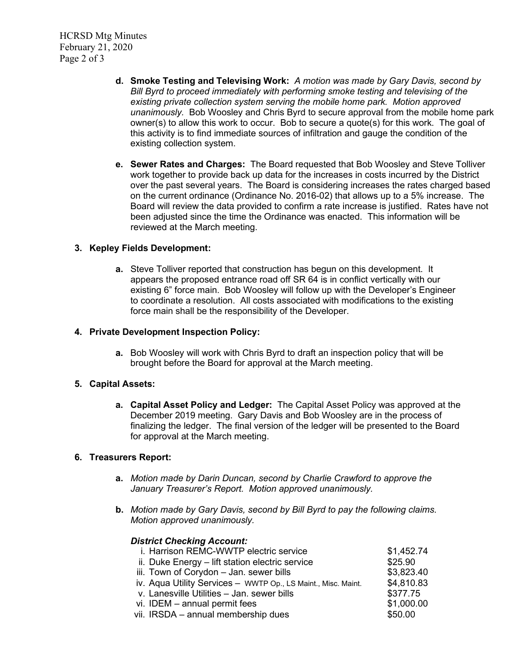HCRSD Mtg Minutes February 21, 2020 Page 2 of 3

- **d. Smoke Testing and Televising Work:** *A motion was made by Gary Davis, second by Bill Byrd to proceed immediately with performing smoke testing and televising of the existing private collection system serving the mobile home park. Motion approved unanimously.* Bob Woosley and Chris Byrd to secure approval from the mobile home park owner(s) to allow this work to occur. Bob to secure a quote(s) for this work. The goal of this activity is to find immediate sources of infiltration and gauge the condition of the existing collection system.
- **e. Sewer Rates and Charges:** The Board requested that Bob Woosley and Steve Tolliver work together to provide back up data for the increases in costs incurred by the District over the past several years. The Board is considering increases the rates charged based on the current ordinance (Ordinance No. 2016-02) that allows up to a 5% increase. The Board will review the data provided to confirm a rate increase is justified. Rates have not been adjusted since the time the Ordinance was enacted. This information will be reviewed at the March meeting.

## **3. Kepley Fields Development:**

**a.** Steve Tolliver reported that construction has begun on this development. It appears the proposed entrance road off SR 64 is in conflict vertically with our existing 6" force main. Bob Woosley will follow up with the Developer's Engineer to coordinate a resolution. All costs associated with modifications to the existing force main shall be the responsibility of the Developer.

## **4. Private Development Inspection Policy:**

**a.** Bob Woosley will work with Chris Byrd to draft an inspection policy that will be brought before the Board for approval at the March meeting.

## **5. Capital Assets:**

**a. Capital Asset Policy and Ledger:** The Capital Asset Policy was approved at the December 2019 meeting. Gary Davis and Bob Woosley are in the process of finalizing the ledger. The final version of the ledger will be presented to the Board for approval at the March meeting.

## **6. Treasurers Report:**

- **a.** *Motion made by Darin Duncan, second by Charlie Crawford to approve the January Treasurer's Report. Motion approved unanimously.*
- **b.** *Motion made by Gary Davis, second by Bill Byrd to pay the following claims. Motion approved unanimously.*

## *District Checking Account:*

| i. Harrison REMC-WWTP electric service                        | \$1,452.74 |
|---------------------------------------------------------------|------------|
| ii. Duke Energy - lift station electric service               | \$25.90    |
| iii. Town of Corydon - Jan. sewer bills                       | \$3,823.40 |
| iv. Aqua Utility Services - WWTP Op., LS Maint., Misc. Maint. | \$4,810.83 |
| v. Lanesville Utilities - Jan. sewer bills                    | \$377.75   |
| vi. IDEM - annual permit fees                                 | \$1,000.00 |
| vii. IRSDA – annual membership dues                           | \$50.00    |
|                                                               |            |